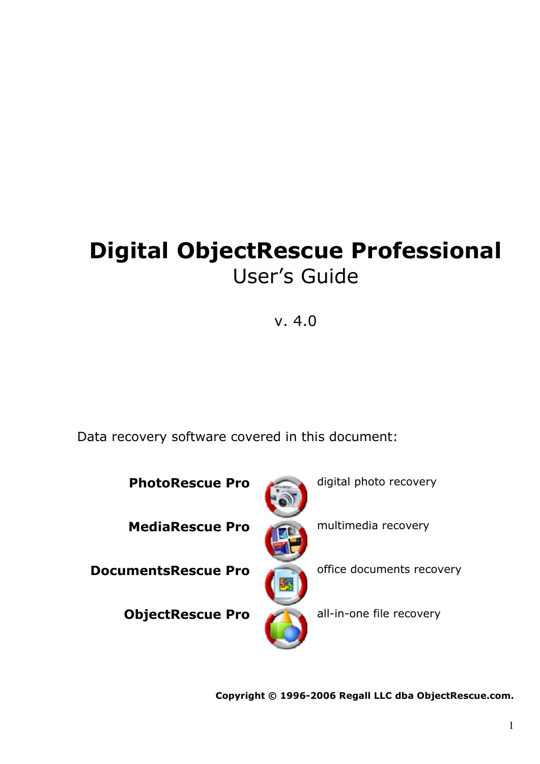# Digital ObjectRescue Professional User's Guide

v. 4.0

Data recovery software covered in this document:



Copyright © 1996-2006 Regall LLC dba ObjectRescue.com.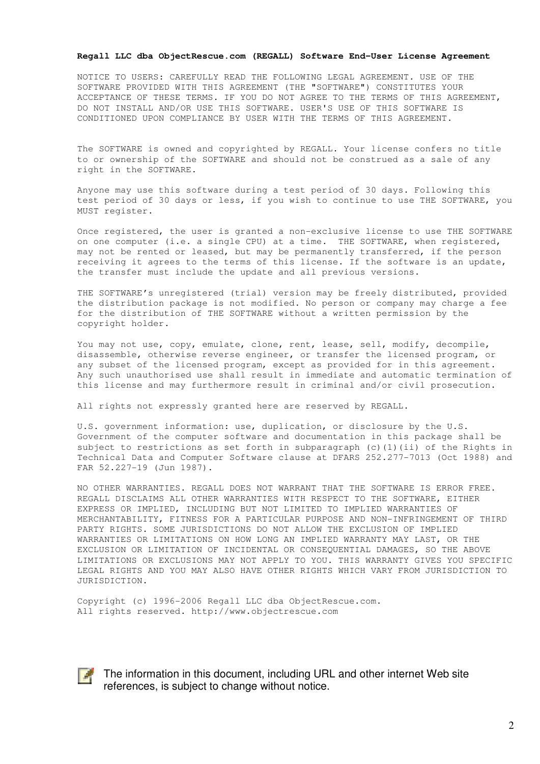#### **Regall LLC dba ObjectRescue.com (REGALL) Software End-User License Agreement**

NOTICE TO USERS: CAREFULLY READ THE FOLLOWING LEGAL AGREEMENT. USE OF THE SOFTWARE PROVIDED WITH THIS AGREEMENT (THE "SOFTWARE") CONSTITUTES YOUR ACCEPTANCE OF THESE TERMS. IF YOU DO NOT AGREE TO THE TERMS OF THIS AGREEMENT, DO NOT INSTALL AND/OR USE THIS SOFTWARE. USER'S USE OF THIS SOFTWARE IS CONDITIONED UPON COMPLIANCE BY USER WITH THE TERMS OF THIS AGREEMENT.

The SOFTWARE is owned and copyrighted by REGALL. Your license confers no title to or ownership of the SOFTWARE and should not be construed as a sale of any right in the SOFTWARE.

Anyone may use this software during a test period of 30 days. Following this test period of 30 days or less, if you wish to continue to use THE SOFTWARE, you MUST register.

Once registered, the user is granted a non-exclusive license to use THE SOFTWARE on one computer (i.e. a single CPU) at a time. THE SOFTWARE, when registered, may not be rented or leased, but may be permanently transferred, if the person receiving it agrees to the terms of this license. If the software is an update, the transfer must include the update and all previous versions.

THE SOFTWARE's unregistered (trial) version may be freely distributed, provided the distribution package is not modified. No person or company may charge a fee for the distribution of THE SOFTWARE without a written permission by the copyright holder.

You may not use, copy, emulate, clone, rent, lease, sell, modify, decompile, disassemble, otherwise reverse engineer, or transfer the licensed program, or any subset of the licensed program, except as provided for in this agreement. Any such unauthorised use shall result in immediate and automatic termination of this license and may furthermore result in criminal and/or civil prosecution.

All rights not expressly granted here are reserved by REGALL.

U.S. government information: use, duplication, or disclosure by the U.S. Government of the computer software and documentation in this package shall be subject to restrictions as set forth in subparagraph (c)(1)(ii) of the Rights in Technical Data and Computer Software clause at DFARS 252.277-7013 (Oct 1988) and FAR 52.227-19 (Jun 1987).

NO OTHER WARRANTIES. REGALL DOES NOT WARRANT THAT THE SOFTWARE IS ERROR FREE. REGALL DISCLAIMS ALL OTHER WARRANTIES WITH RESPECT TO THE SOFTWARE, EITHER EXPRESS OR IMPLIED, INCLUDING BUT NOT LIMITED TO IMPLIED WARRANTIES OF MERCHANTABILITY, FITNESS FOR A PARTICULAR PURPOSE AND NON-INFRINGEMENT OF THIRD PARTY RIGHTS. SOME JURISDICTIONS DO NOT ALLOW THE EXCLUSION OF IMPLIED WARRANTIES OR LIMITATIONS ON HOW LONG AN IMPLIED WARRANTY MAY LAST, OR THE EXCLUSION OR LIMITATION OF INCIDENTAL OR CONSEQUENTIAL DAMAGES, SO THE ABOVE LIMITATIONS OR EXCLUSIONS MAY NOT APPLY TO YOU. THIS WARRANTY GIVES YOU SPECIFIC LEGAL RIGHTS AND YOU MAY ALSO HAVE OTHER RIGHTS WHICH VARY FROM JURISDICTION TO JURISDICTION.

Copyright (c) 1996-2006 Regall LLC dba ObjectRescue.com. All rights reserved. http://www.objectrescue.com

The information in this document, including URL and other internet Web site references, is subject to change without notice.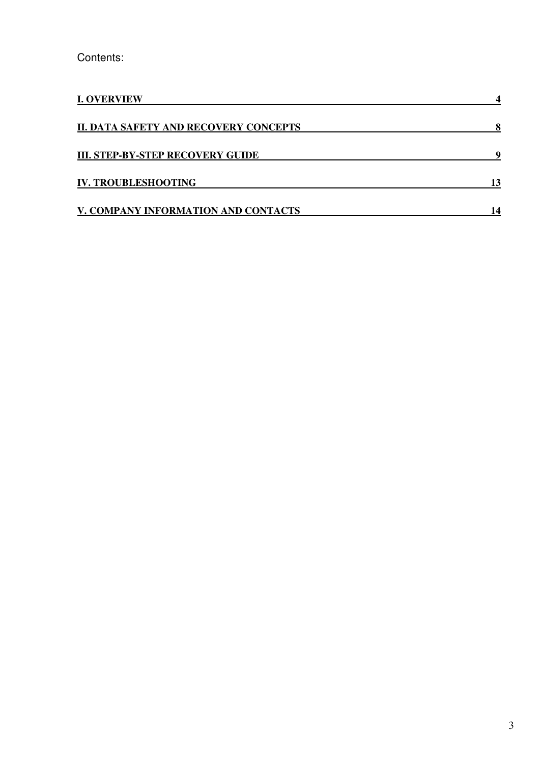Contents:

| <b>I. OVERVIEW</b>                      |    |
|-----------------------------------------|----|
| II. DATA SAFETY AND RECOVERY CONCEPTS   |    |
| <b>III. STEP-BY-STEP RECOVERY GUIDE</b> |    |
| <b>IV. TROUBLESHOOTING</b>              | 13 |
| V. COMPANY INFORMATION AND CONTACTS     | 14 |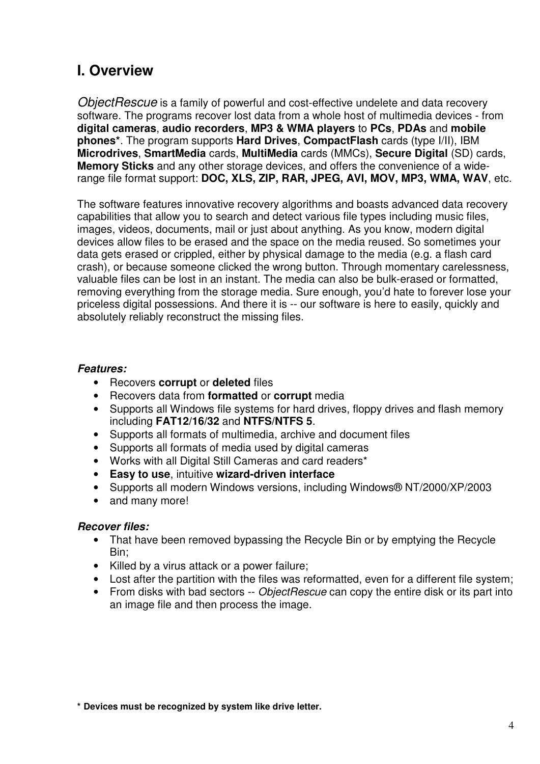### **I. Overview**

ObjectRescue is a family of powerful and cost-effective undelete and data recovery software. The programs recover lost data from a whole host of multimedia devices - from **digital cameras**, **audio recorders**, **MP3 & WMA players** to **PCs**, **PDAs** and **mobile phones\***. The program supports **Hard Drives**, **CompactFlash** cards (type I/II), IBM **Microdrives**, **SmartMedia** cards, **MultiMedia** cards (MMCs), **Secure Digital** (SD) cards, **Memory Sticks** and any other storage devices, and offers the convenience of a widerange file format support: **DOC, XLS, ZIP, RAR, JPEG, AVI, MOV, MP3, WMA, WAV**, etc.

The software features innovative recovery algorithms and boasts advanced data recovery capabilities that allow you to search and detect various file types including music files, images, videos, documents, mail or just about anything. As you know, modern digital devices allow files to be erased and the space on the media reused. So sometimes your data gets erased or crippled, either by physical damage to the media (e.g. a flash card crash), or because someone clicked the wrong button. Through momentary carelessness, valuable files can be lost in an instant. The media can also be bulk-erased or formatted, removing everything from the storage media. Sure enough, you'd hate to forever lose your priceless digital possessions. And there it is -- our software is here to easily, quickly and absolutely reliably reconstruct the missing files.

#### **Features:**

- Recovers **corrupt** or **deleted** files
- Recovers data from **formatted** or **corrupt** media
- Supports all Windows file systems for hard drives, floppy drives and flash memory including **FAT12/16/32** and **NTFS/NTFS 5**.
- Supports all formats of multimedia, archive and document files
- Supports all formats of media used by digital cameras
- Works with all Digital Still Cameras and card readers\*
- **Easy to use**, intuitive **wizard-driven interface**
- Supports all modern Windows versions, including Windows® NT/2000/XP/2003
- and many more!

#### **Recover files:**

- That have been removed bypassing the Recycle Bin or by emptying the Recycle Bin;
- Killed by a virus attack or a power failure;
- Lost after the partition with the files was reformatted, even for a different file system;
- From disks with bad sectors -- ObjectRescue can copy the entire disk or its part into an image file and then process the image.

**\* Devices must be recognized by system like drive letter.**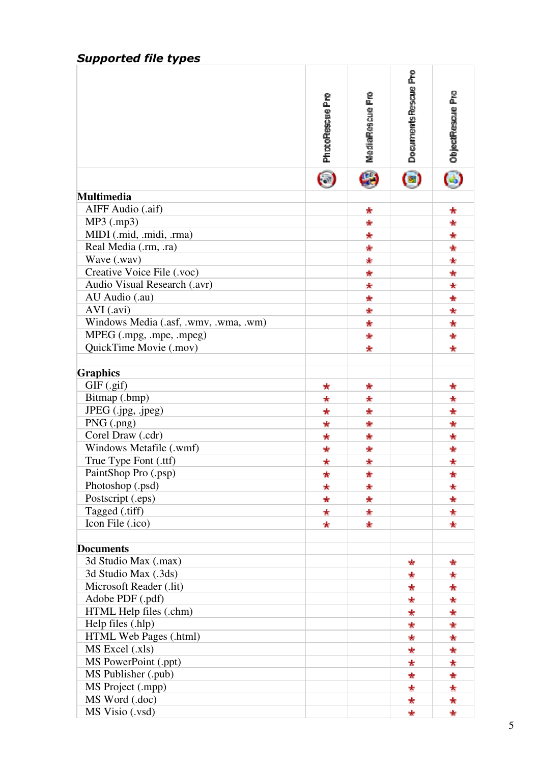### Supported file types

|                                          | PhotoRescue Pro | MediaRescue Pro     | g<br><b>DocumentsRescue</b> | $\frac{\texttt{o}}{\texttt{a}}$<br>ObjectRescue |
|------------------------------------------|-----------------|---------------------|-----------------------------|-------------------------------------------------|
|                                          | $\bullet$       | 43                  | $\left( \mathbf{z}\right)$  |                                                 |
| <b>Multimedia</b>                        |                 |                     |                             |                                                 |
| AIFF Audio (.aif)                        |                 | *                   |                             | $\ast$                                          |
| $MP3$ (.mp3)                             |                 | *                   |                             | *                                               |
| MIDI (.mid, .midi, .rma)                 |                 | ₩                   |                             | $\ast$                                          |
| Real Media (.rm, .ra)                    |                 | *                   |                             | Ŵ.                                              |
| Wave (.wav)                              |                 | $\color{red} \star$ |                             | $\ast$                                          |
| Creative Voice File (.voc)               |                 | ∗                   |                             | *                                               |
| Audio Visual Research (.avr)             |                 | ∗                   |                             | *                                               |
| AU Audio (.au)                           |                 | ₩                   |                             | 责                                               |
| AVI (.avi)                               |                 | $\color{red} \star$ |                             | $\ast$                                          |
| Windows Media (.asf, .wmv, .wma, .wm)    |                 | *                   |                             | *                                               |
| MPEG (.mpg, .mpe, .mpeg)                 |                 | ∗                   |                             | ₩                                               |
| QuickTime Movie (.mov)                   |                 | ₩                   |                             | ÷                                               |
|                                          |                 |                     |                             |                                                 |
| <b>Graphics</b>                          |                 |                     |                             |                                                 |
| $GIF$ $(gif)$                            | *               | ∗                   |                             | $\star$                                         |
| Bitmap (.bmp)                            | $\ast$          | ₩                   |                             | $\ast$                                          |
| JPEG (.jpg, .jpeg)                       | *               | *                   |                             | *                                               |
| PNG (.png)                               | $\ast$          | $\ast$              |                             | $\ast$                                          |
| Corel Draw (.cdr)                        | *               | *                   |                             | *                                               |
| Windows Metafile (.wmf)                  | $\ast$          | *                   |                             | *                                               |
| True Type Font (.ttf)                    | ÷               | $\ast$              |                             | *                                               |
| PaintShop Pro (.psp)                     | $\star$         | $\color{red} \star$ |                             | $\star$                                         |
| Photoshop (.psd)                         | $\ast$          | ∗                   |                             | *                                               |
| Postscript (.eps)                        | $\ast$          | ₩                   |                             | $\ast$                                          |
| Tagged (.tiff)                           | $\star$         | $\color{red} \star$ |                             | ÷.                                              |
| Icon File (.ico)                         | $\ast$          | $\color{red} \star$ |                             | $\star$                                         |
|                                          |                 |                     |                             |                                                 |
| <b>Documents</b>                         |                 |                     |                             |                                                 |
| 3d Studio Max (.max)                     |                 |                     | 索                           | ₩                                               |
| 3d Studio Max (.3ds)                     |                 |                     | ₩                           | $\ast$                                          |
| Microsoft Reader (.lit)                  |                 |                     | $\ast$                      | $\ast$                                          |
| Adobe PDF (.pdf)                         |                 |                     | *                           | ₩                                               |
| HTML Help files (.chm)                   |                 |                     | *                           | *                                               |
| Help files (.hlp)                        |                 |                     | $\star$                     | *                                               |
| HTML Web Pages (.html)                   |                 |                     | $\star$                     | $\ast$                                          |
| MS Excel (.xls)                          |                 |                     | *                           | *                                               |
| MS PowerPoint (.ppt)                     |                 |                     | $\ast$                      | $\ast$                                          |
| MS Publisher (.pub)<br>MS Project (.mpp) |                 |                     | $\star$                     | ÷.                                              |
| MS Word (.doc)                           |                 |                     | $\ast$                      | $\star$                                         |
| MS Visio (.vsd)                          |                 |                     | *<br>$\star$                | ★<br>$\star$                                    |
|                                          |                 |                     |                             |                                                 |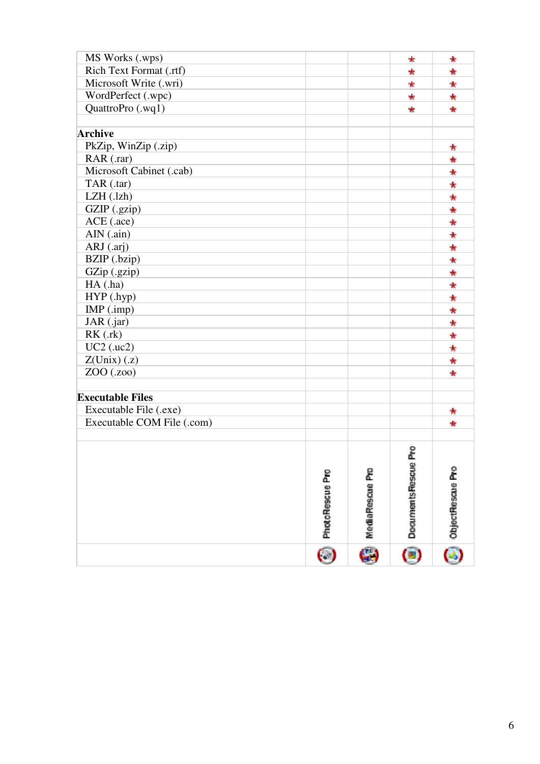| MS Works (.wps)            |                 |                 | 索                          | $\star$             |
|----------------------------|-----------------|-----------------|----------------------------|---------------------|
| Rich Text Format (.rtf)    |                 |                 | 素                          | $\star$             |
| Microsoft Write (.wri)     |                 |                 | ∗                          | $\star$             |
| WordPerfect (.wpc)         |                 |                 | ∗                          | $\ast$              |
| QuattroPro (.wq1)          |                 |                 | ₩                          | $\star$             |
|                            |                 |                 |                            |                     |
| Archive                    |                 |                 |                            |                     |
| PkZip, WinZip (.zip)       |                 |                 |                            | $\ast$              |
| RAR (.rar)                 |                 |                 |                            | $\ast$              |
| Microsoft Cabinet (.cab)   |                 |                 |                            | $\star$             |
| TAR (.tar)                 |                 |                 |                            | $\star$             |
| LZH (.lzh)                 |                 |                 |                            | $\ast$              |
| GZIP (.gzip)               |                 |                 |                            | $\star$             |
| ACE (.ace)                 |                 |                 |                            | $\ast$              |
| $\text{AIN}$ (.ain)        |                 |                 |                            | $\star$             |
| ARJ (.arj)                 |                 |                 |                            | $\ast$              |
| BZIP (.bzip)               |                 |                 |                            | $\ast$              |
| GZip (.gzip)               |                 |                 |                            | $\star$             |
| HA (.ha)                   |                 |                 |                            | $\star$             |
| HYP (.hyp)                 |                 |                 |                            | $\ast$              |
| IMP (imp)                  |                 |                 |                            | ∗                   |
| JAR $(.jar)$               |                 |                 |                            | *                   |
| RK(rk)                     |                 |                 |                            | $\star$             |
| $UC2$ (.uc2)               |                 |                 |                            | $\star$             |
| $Z(Unix)$ (.z)             |                 |                 |                            | $\frac{1}{2\pi}$    |
| ZOO (.zoo)                 |                 |                 |                            | $\star$             |
|                            |                 |                 |                            |                     |
| <b>Executable Files</b>    |                 |                 |                            |                     |
| Executable File (.exe)     |                 |                 |                            | $\ast$              |
| Executable COM File (.com) |                 |                 |                            | $\ast$              |
|                            |                 |                 |                            |                     |
|                            |                 |                 | $\frac{6}{5}$              |                     |
|                            |                 |                 |                            |                     |
|                            |                 |                 |                            |                     |
|                            |                 |                 |                            |                     |
|                            |                 |                 |                            |                     |
|                            | PhotoRescue Pro | MediaRescue Pro | <b>Documents Rescue</b>    | ObjectRescue Pro    |
|                            |                 |                 |                            |                     |
|                            |                 |                 |                            |                     |
|                            | G               | (Se)            | $\left( \mathbf{S}\right)$ | $\overline{\omega}$ |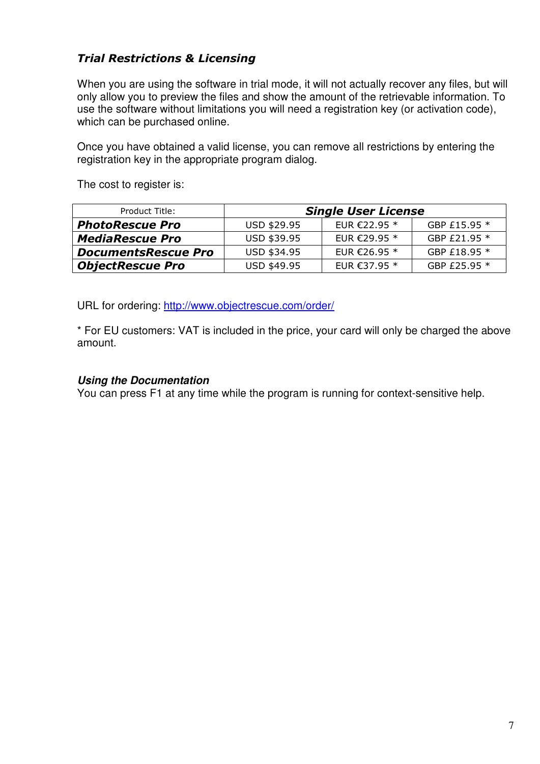#### Trial Restrictions & Licensing

When you are using the software in trial mode, it will not actually recover any files, but will only allow you to preview the files and show the amount of the retrievable information. To use the software without limitations you will need a registration key (or activation code), which can be purchased online.

Once you have obtained a valid license, you can remove all restrictions by entering the registration key in the appropriate program dialog.

The cost to register is:

| Product Title:                 | <b>Single User License</b> |                |                |
|--------------------------------|----------------------------|----------------|----------------|
| <b>PhotoRescue Pro</b>         | USD \$29.95                | EUR €22.95 $*$ | GBP £15.95 $*$ |
| <b>MediaRescue Pro</b>         | USD \$39.95                | EUR €29.95 $*$ | GBP £21.95 $*$ |
| <b>DocumentsRescue Pro</b>     | USD \$34.95                | EUR €26.95 $*$ | GBP £18.95 $*$ |
| <i><b>ObjectRescue Pro</b></i> | USD \$49.95                | EUR €37.95 $*$ | GBP £25.95 $*$ |

URL for ordering: http://www.objectrescue.com/order/

\* For EU customers: VAT is included in the price, your card will only be charged the above amount.

#### **Using the Documentation**

You can press F1 at any time while the program is running for context-sensitive help.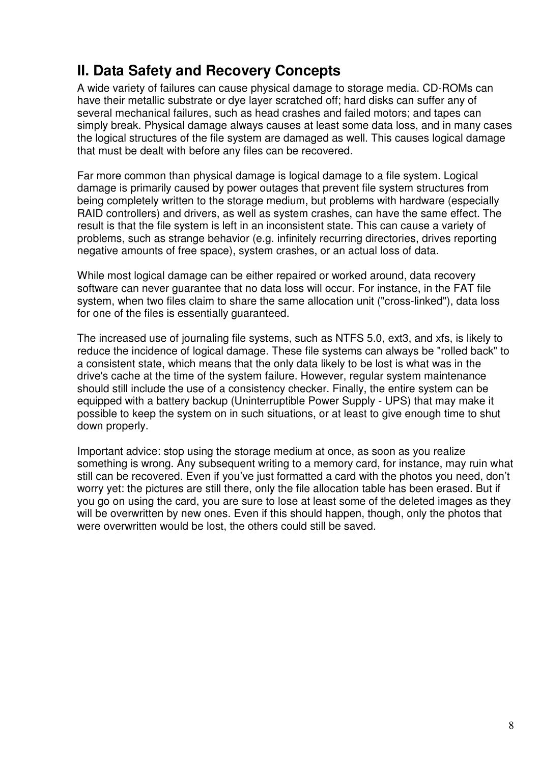### **II. Data Safety and Recovery Concepts**

A wide variety of failures can cause physical damage to storage media. CD-ROMs can have their metallic substrate or dye layer scratched off; hard disks can suffer any of several mechanical failures, such as head crashes and failed motors; and tapes can simply break. Physical damage always causes at least some data loss, and in many cases the logical structures of the file system are damaged as well. This causes logical damage that must be dealt with before any files can be recovered.

Far more common than physical damage is logical damage to a file system. Logical damage is primarily caused by power outages that prevent file system structures from being completely written to the storage medium, but problems with hardware (especially RAID controllers) and drivers, as well as system crashes, can have the same effect. The result is that the file system is left in an inconsistent state. This can cause a variety of problems, such as strange behavior (e.g. infinitely recurring directories, drives reporting negative amounts of free space), system crashes, or an actual loss of data.

While most logical damage can be either repaired or worked around, data recovery software can never guarantee that no data loss will occur. For instance, in the FAT file system, when two files claim to share the same allocation unit ("cross-linked"), data loss for one of the files is essentially guaranteed.

The increased use of journaling file systems, such as NTFS 5.0, ext3, and xfs, is likely to reduce the incidence of logical damage. These file systems can always be "rolled back" to a consistent state, which means that the only data likely to be lost is what was in the drive's cache at the time of the system failure. However, regular system maintenance should still include the use of a consistency checker. Finally, the entire system can be equipped with a battery backup (Uninterruptible Power Supply - UPS) that may make it possible to keep the system on in such situations, or at least to give enough time to shut down properly.

Important advice: stop using the storage medium at once, as soon as you realize something is wrong. Any subsequent writing to a memory card, for instance, may ruin what still can be recovered. Even if you've just formatted a card with the photos you need, don't worry yet: the pictures are still there, only the file allocation table has been erased. But if you go on using the card, you are sure to lose at least some of the deleted images as they will be overwritten by new ones. Even if this should happen, though, only the photos that were overwritten would be lost, the others could still be saved.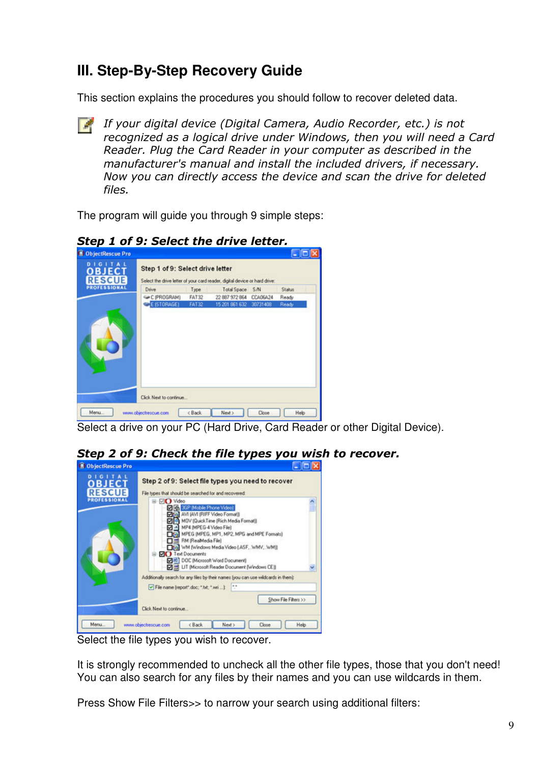### **III. Step-By-Step Recovery Guide**

This section explains the procedures you should follow to recover deleted data.

The program will guide you through 9 simple steps:



Step 1 of 9: Select the drive letter.

Select a drive on your PC (Hard Drive, Card Reader or other Digital Device).

Step 2 of 9: Check the file types you wish to recover.



Select the file types you wish to recover.

It is strongly recommended to uncheck all the other file types, those that you don't need! You can also search for any files by their names and you can use wildcards in them.

Press Show File Filters>> to narrow your search using additional filters:

If your digital device (Digital Camera, Audio Recorder, etc.) is not F. recognized as a logical drive under Windows, then you will need a Card Reader. Plug the Card Reader in your computer as described in the manufacturer's manual and install the included drivers, if necessary. Now you can directly access the device and scan the drive for deleted files.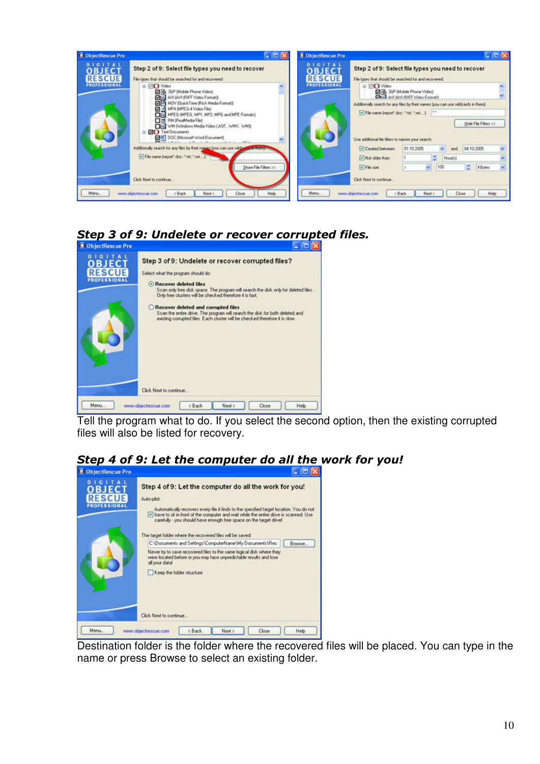

#### Step 3 of 9: Undelete or recover corrupted files.



Tell the program what to do. If you select the second option, then the existing corrupted files will also be listed for recovery.

#### Step 4 of 9: Let the computer do all the work for you!



Destination folder is the folder where the recovered files will be placed. You can type in the name or press Browse to select an existing folder.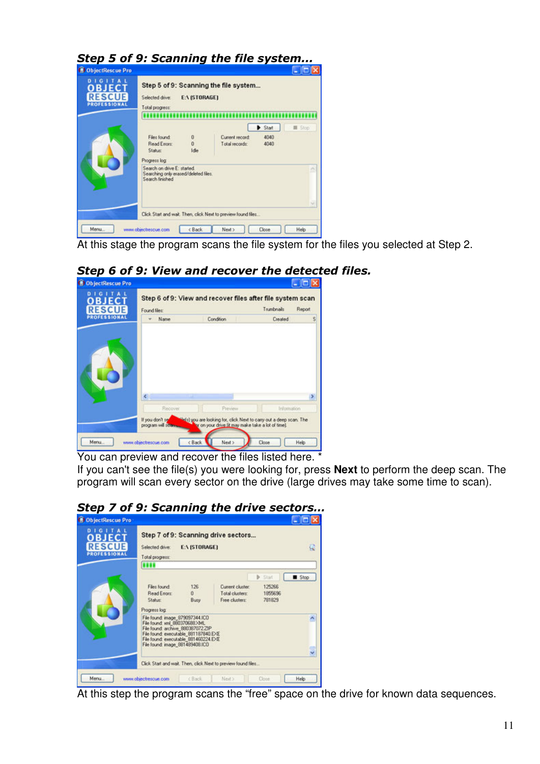| $D$   $G$   $T$<br>A<br>OBJEC'<br><b>RESCUE</b><br><b>PROFESSIONAL</b> | Selected drive:<br>Total progress:                      | E:\[STORAGE]  | Step 5 of 9: Scanning the file system                         |              |        |
|------------------------------------------------------------------------|---------------------------------------------------------|---------------|---------------------------------------------------------------|--------------|--------|
|                                                                        |                                                         |               |                                                               | Start<br>٠   | ■ Stop |
|                                                                        | Files found<br>Read Enter:<br>Statue:                   | o<br>ö<br>Ide | Current record:<br>Total records:                             | 4040<br>4040 |        |
|                                                                        | Progress log:<br>Search on drive E: started             |               |                                                               |              |        |
|                                                                        | Searching only erased/deleted files.<br>Search finished |               |                                                               |              |        |
|                                                                        |                                                         |               |                                                               |              |        |
|                                                                        |                                                         |               | Click Start and wait. Then, click Next to preview found files |              |        |

At this stage the program scans the file system for the files you selected at Step 2.

#### Step 6 of 9: View and recover the detected files.



You can preview and recover the files listed here.

If you can't see the file(s) you were looking for, press **Next** to perform the deep scan. The program will scan every sector on the drive (large drives may take some time to scan).

#### Step 7 of 9: Scanning the drive sectors…



At this step the program scans the "free" space on the drive for known data sequences.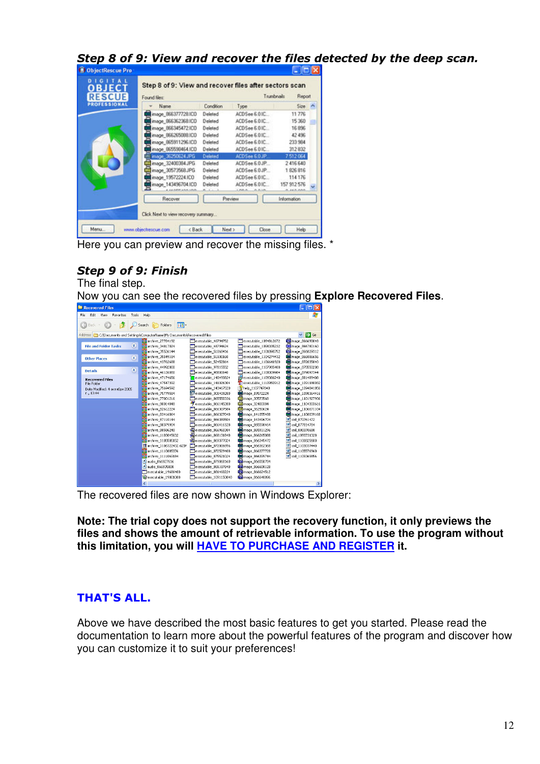| <b>RESCUE</b>       | Found files:        |           |                           | Trumbnails<br>Report             |
|---------------------|---------------------|-----------|---------------------------|----------------------------------|
| <b>PROFESSIONAL</b> | Name                | Condition | Type                      | $SCP$ $\wedge$                   |
|                     | image 866377728.ICD | Deleted   | ACDSee 6.0 IC.            | 11776                            |
|                     | mage_866362368.ICO  | Deleted   | ACDSee 6.0 IC.            | 15 360                           |
|                     | mage_8663454721CO   | Deleted   | ACDSee 6.0 IC.            | 16.896                           |
|                     | mage_966265088.ICO  | Deleted   | ACDSee 6.0 IC.            | 42496                            |
|                     | image 865911296.ICD | Deleted   | ACDSee 6.01C.             | 233 984                          |
|                     | mage_865598464.ICD  | Deleted   | ACDSee 6.0 IC             | 312832                           |
|                     | inage 36250624.JPG  | Deleted   | ACDSee 6.0 JP.            | 7512064                          |
|                     | image 32400384.JPG  | Deleted   | ACDSee 6.0 JP.            | 2 416 640                        |
|                     | image_30573568.JPG  | Deleted   | ACDSee 6.0 JP.            | 1826 816                         |
|                     | image_19572224.ICO  | Deleted   | ACDSee 6.01C.             | 114176                           |
|                     | mage 143496704.ICD  | Deleted   | ACDSee 6.01C.<br>Links in | 157 912 576<br><b>B. AKALBAR</b> |
|                     | Recover             |           | Preview                   | <b>Information</b>               |

Step 8 of 9: View and recover the files detected by the deep scan.

Here you can preview and recover the missing files. \*

### Step 9 of 9: Finish

The final step.

Now you can see the recovered files by pressing **Explore Recovered Files**.

| Recovered Files                                                                    |                                                                                                                                      |                                                                                                                                              |                                                                                                                                          | - 10                                                                                                                |
|------------------------------------------------------------------------------------|--------------------------------------------------------------------------------------------------------------------------------------|----------------------------------------------------------------------------------------------------------------------------------------------|------------------------------------------------------------------------------------------------------------------------------------------|---------------------------------------------------------------------------------------------------------------------|
| Edit<br>File<br>View<br>Favorites<br>Tools                                         | Help                                                                                                                                 |                                                                                                                                              |                                                                                                                                          | Æ                                                                                                                   |
| Back                                                                               | m.<br>Search<br>Folders                                                                                                              |                                                                                                                                              |                                                                                                                                          |                                                                                                                     |
| <b>Address</b>                                                                     | C:\Documents and Settings\ComputerName\My Documents\Recovered Files                                                                  |                                                                                                                                              |                                                                                                                                          | $\Rightarrow$ Go<br>×                                                                                               |
| $\infty$<br><b>File and Folder Tasks</b>                                           | Figurehive_27784192<br>archive 34817024<br><b>NS</b> archive 35526144                                                                | executable 46794752<br>executable 48794624<br>executable 51068416                                                                            | executable_1094812672<br>executable 1098335232<br>executable 1101898752                                                                  | <b>Dal</b> image 866690048<br>mage 866780160<br>Til image_866829312                                                 |
| $\tilde{\mathbf{x}}$<br><b>Other Places</b>                                        | Farchive_35549184<br><b>Nillarchive 43762688</b>                                                                                     | executable_51100160<br>executable 52452864                                                                                                   | executable_1104274432<br>executable 1106641920                                                                                           | mage_866886656<br>mage 872035840                                                                                    |
| 変<br><b>Details</b>                                                                | Figurehive_44992000<br>Pipe archive 46126080                                                                                         | executable_97815552<br>executable 98800640                                                                                                   | executable_1107985408<br>executable 1108009984                                                                                           | to image_875550208<br>mage 879097344                                                                                |
| <b>Recovered Files</b><br>File Folder<br>Date Modified: 4 октября 2005<br>r. 13:44 | <b>Allanchive 47174656</b><br>archive_47547392<br>archive_75694592<br>Figure 15779584<br>archive_77001216<br>Farchive 80014848       | executable 140493824<br>executable 141026304<br>executable_143467520<br>executable 301409280<br>executable 865550336<br>executable 866145280 | executable 1109386240<br>executable 1110950912<br>help 1107747840<br>mage_19572224<br><b>To</b> image 30573568<br><b>Manage 32400384</b> | mage 881489408<br>comage_1091180032<br>mage 1094841856<br>mage 1098364416<br>mage_1101927936<br>mage 1104303616     |
|                                                                                    | archive 82612224<br>archive 83416064<br>Farchive 87110144<br>Aarchive_88379904                                                       | executable 866307584<br>executable 866327040<br>executable 866389504<br>executable 866416128                                                 | T26 image_36250624<br>mage 141055488<br><b>Ed</b> image 143496704<br>To image_865598464                                                  | <b>Ed</b> image 1106671104<br>mage 1108039168<br>2 xml 870761472<br>알 xml 877814784                                 |
|                                                                                    | Farchive 88586240<br>archive_1103045632<br>archive 1105585152<br>archive 1106322432.GZIP<br>archive 1110885376<br>archive 1111069184 | executable 866960384<br>executable 868131840<br>executable 869377024<br>executable 872006656<br>executable 872529408<br>executable 875521024 | mage 865911296<br>image 866265088<br>mage 866345472<br>Cimage 866362368<br>Cimage 866377728<br>mage 866399744                            | 2 xml 880370688<br>≌xml 1093731328<br>알 xml 1100825600<br>27 xml 1103037440<br>알 xml_1105576960<br>2 xml 1109369856 |
|                                                                                    | audio 866927616<br>audio_866935808<br>executable_19686400<br>eyecutable_19801088                                                     | executable 879068160<br>executable 881187840<br>executable 881460224<br>executable_1091150848<br>m                                           | TG image_866550784<br>mage 866608128<br><b>DG</b> image 866624512<br><b>DG</b> image_866640896                                           |                                                                                                                     |

The recovered files are now shown in Windows Explorer:

**Note: The trial copy does not support the recovery function, it only previews the files and shows the amount of retrievable information. To use the program without this limitation, you will HAVE TO PURCHASE AND REGISTER it.** 

#### THAT'S ALL.

Above we have described the most basic features to get you started. Please read the documentation to learn more about the powerful features of the program and discover how you can customize it to suit your preferences!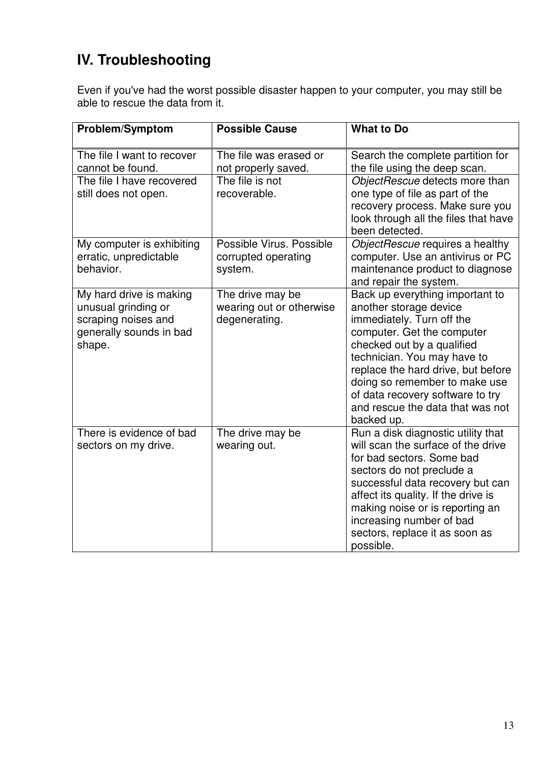## **IV. Troubleshooting**

Even if you've had the worst possible disaster happen to your computer, you may still be able to rescue the data from it.

| Problem/Symptom                                                                                            | <b>Possible Cause</b>                                         | <b>What to Do</b>                                                                                                                                                                                                                                                                                                                              |
|------------------------------------------------------------------------------------------------------------|---------------------------------------------------------------|------------------------------------------------------------------------------------------------------------------------------------------------------------------------------------------------------------------------------------------------------------------------------------------------------------------------------------------------|
| The file I want to recover<br>cannot be found.                                                             | The file was erased or<br>not properly saved.                 | Search the complete partition for<br>the file using the deep scan.                                                                                                                                                                                                                                                                             |
| The file I have recovered<br>still does not open.                                                          | The file is not<br>recoverable.                               | ObjectRescue detects more than<br>one type of file as part of the<br>recovery process. Make sure you<br>look through all the files that have<br>been detected.                                                                                                                                                                                 |
| My computer is exhibiting<br>erratic, unpredictable<br>behavior.                                           | Possible Virus, Possible<br>corrupted operating<br>system.    | ObjectRescue requires a healthy<br>computer. Use an antivirus or PC<br>maintenance product to diagnose<br>and repair the system.                                                                                                                                                                                                               |
| My hard drive is making<br>unusual grinding or<br>scraping noises and<br>generally sounds in bad<br>shape. | The drive may be<br>wearing out or otherwise<br>degenerating. | Back up everything important to<br>another storage device<br>immediately. Turn off the<br>computer. Get the computer<br>checked out by a qualified<br>technician. You may have to<br>replace the hard drive, but before<br>doing so remember to make use<br>of data recovery software to try<br>and rescue the data that was not<br>backed up. |
| There is evidence of bad<br>sectors on my drive.                                                           | The drive may be<br>wearing out.                              | Run a disk diagnostic utility that<br>will scan the surface of the drive<br>for bad sectors. Some bad<br>sectors do not preclude a<br>successful data recovery but can<br>affect its quality. If the drive is<br>making noise or is reporting an<br>increasing number of bad<br>sectors, replace it as soon as<br>possible.                    |